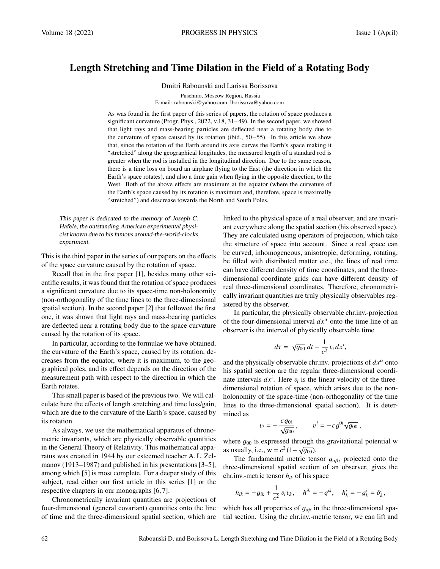## Length Stretching and Time Dilation in the Field of a Rotating Body

Dmitri Rabounski and Larissa Borissova

Puschino, Moscow Region, Russia E-mail: rabounski@yahoo.com, lborissova@yahoo.com

As was found in the first paper of this series of papers, the rotation of space produces a significant curvature (Progr. Phys., 2022, v.18, 31– 49). In the second paper, we showed that light rays and mass-bearing particles are deflected near a rotating body due to the curvature of space caused by its rotation (ibid.,  $50-55$ ). In this article we show that, since the rotation of the Earth around its axis curves the Earth's space making it "stretched" along the geographical longitudes, the measured length of a standard rod is greater when the rod is installed in the longitudinal direction. Due to the same reason, there is a time loss on board an airplane flying to the East (the direction in which the Earth's space rotates), and also a time gain when flying in the opposite direction, to the West. Both of the above effects are maximum at the equator (where the curvature of the Earth's space caused by its rotation is maximum and, therefore, space is maximally "stretched") and descrease towards the North and South Poles.

This paper is dedicated to the memory of Joseph C. Hafele, the outstanding American experimental physicist known due to his famous around-the-world-clocks experiment.

This is the third paper in the series of our papers on the effects of the space curvature caused by the rotation of space.

Recall that in the first paper [1], besides many other scientific results, it was found that the rotation of space produces a significant curvature due to its space-time non-holonomity (non-orthogonality of the time lines to the three-dimensional spatial section). In the second paper [2] that followed the first one, it was shown that light rays and mass-bearing particles are deflected near a rotating body due to the space curvature caused by the rotation of its space.

In particular, according to the formulae we have obtained, the curvature of the Earth's space, caused by its rotation, decreases from the equator, where it is maximum, to the geographical poles, and its effect depends on the direction of the measurement path with respect to the direction in which the Earth rotates.

This small paper is based of the previous two. We will calculate here the effects of length stretching and time loss/gain, which are due to the curvature of the Earth's space, caused by its rotation.

As always, we use the mathematical apparatus of chronometric invariants, which are physically observable quantities in the General Theory of Relativity. This mathematical apparatus was created in 1944 by our esteemed teacher A. L. Zelmanov (1913–1987) and published in his presentations [3–5], among which [5] is most complete. For a deeper study of this subject, read either our first article in this series [1] or the respective chapters in our monographs [6, 7].

Chronometrically invariant quantities are projections of four-dimensional (general covariant) quantities onto the line of time and the three-dimensional spatial section, which are linked to the physical space of a real observer, and are invariant everywhere along the spatial section (his observed space). They are calculated using operators of projection, which take the structure of space into account. Since a real space can be curved, inhomogeneous, anisotropic, deforming, rotating, be filled with distributed matter etc., the lines of real time can have different density of time coordinates, and the threedimensional coordinate grids can have different density of real three-dimensional coordinates. Therefore, chronometrically invariant quantities are truly physically observables registered by the observer.

In particular, the physically observable chr.inv.-projection of the four-dimensional interval  $dx^{\alpha}$  onto the time line of an observer is the interval of physically observable time

$$
d\tau = \sqrt{g_{00}} dt - \frac{1}{c^2} v_i dx^i,
$$

and the physically observable chr.inv.-projections of  $dx^{\alpha}$  onto his spatial section are the regular three-dimensional coordinate intervals  $dx^i$ . Here  $v_i$  is the linear velocity of the three-<br>dimensional rotation of space, which arises due to the nondimensional rotation of space, which arises due to the nonholonomity of the space-time (non-orthogonality of the time lines to the three-dimensional spatial section). It is determined as

$$
=-\frac{c g_{0i}}{\sqrt{g_{00}}}, \qquad v^i=-c g^{0i}\sqrt{g_{00}},
$$

where  $g_{00}$  is expressed through the gravitational potential w<br>as usually i.e.  $w = c^2(1 - \sqrt{a_{00}})$ as usually, i.e.,  $w = c^2(1 - \sqrt{g_{00}})$ .<br>The fundamental metric ten

The fundamental metric tensor  $g_{\alpha\beta}$ , projected onto the three-dimensional spatial section of an observer, gives the chr.inv.-metric tensor *hik* of his space

$$
h_{ik} = -g_{ik} + \frac{1}{c^2} v_i v_k
$$
,  $h^{ik} = -g^{ik}$ ,  $h^i_k = -g^i_k = \delta^i_k$ ,

which has all properties of  $g_{\alpha\beta}$  in the three-dimensional spatial section. Using the chr.inv.-metric tensor, we can lift and

 $v_i$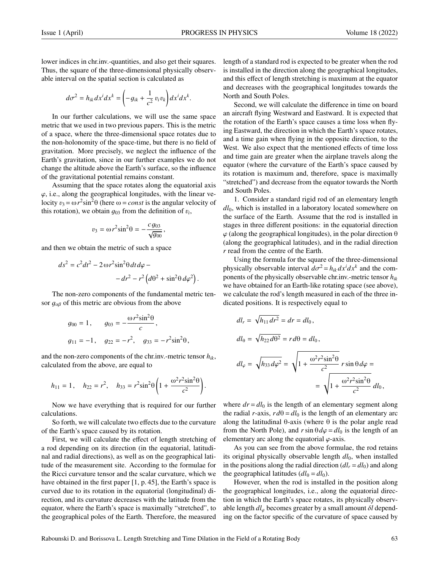lower indices in chr.inv.-quantities, and also get their squares. Thus, the square of the three-dimensional physically observable interval on the spatial section is calculated as

$$
d\sigma^2 = h_{ik} dx^i dx^k = \left(-g_{ik} + \frac{1}{c^2} v_i v_k\right) dx^i dx^k
$$

In our further calculations, we will use the same space metric that we used in two previous papers. This is the metric of a space, where the three-dimensional space rotates due to the non-holonomity of the space-time, but there is no field of gravitation. More precisely, we neglect the influence of the Earth's gravitation, since in our further examples we do not change the altitude above the Earth's surface, so the influence of the gravitational potential remains constant.

Assuming that the space rotates along the equatorial axis  $\varphi$ , i.e., along the geographical longitudes, with the linear velocity  $v_3 = \omega r^2 \sin^2 \theta$  (here  $\omega = const$  is the angular velocity of this rotation), we obtain  $d\omega$  from the definition of n. this rotation), we obtain  $g_{03}$  from the definition of  $v_i$ ,

$$
v_3 = \omega r^2 \sin^2 \theta = -\frac{c g_{03}}{\sqrt{g_{00}}},
$$

and then we obtain the metric of such a space

$$
ds^{2} = c^{2}dt^{2} - 2 \omega r^{2} \sin^{2} \theta dt d\varphi - d r^{2} - r^{2} (d\theta^{2} + \sin^{2} \theta d\varphi^{2}).
$$

The non-zero components of the fundamental metric tensor  $g_{\alpha\beta}$  of this metric are obvious from the above

$$
g_{00} = 1
$$
,  $g_{03} = -\frac{\omega r^2 \sin^2 \theta}{c}$ ,  
 $g_{11} = -1$ ,  $g_{22} = -r^2$ ,  $g_{33} = -r^2 \sin^2 \theta$ ,

and the non-zero components of the chr.inv.-metric tensor *hik*, calculated from the above, are equal to

$$
h_{11} = 1
$$
,  $h_{22} = r^2$ ,  $h_{33} = r^2 \sin^2 \theta \left( 1 + \frac{\omega^2 r^2 \sin^2 \theta}{c^2} \right)$ .

Now we have everything that is required for our further calculations.

So forth, we will calculate two effects due to the curvature of the Earth's space caused by its rotation.

First, we will calculate the effect of length stretching of a rod depending on its direction (in the equatorial, latitudinal and radial directions), as well as on the geographical latitude of the measurement site. According to the formulae for the Ricci curvature tensor and the scalar curvature, which we have obtained in the first paper [1, p. 45], the Earth's space is curved due to its rotation in the equatorial (longitudinal) direction, and its curvature decreases with the latitude from the equator, where the Earth's space is maximally "stretched", to the geographical poles of the Earth. Therefore, the measured

length of a standard rod is expected to be greater when the rod is installed in the direction along the geographical longitudes, and this effect of length stretching is maximum at the equator and decreases with the geographical longitudes towards the North and South Poles.

Second, we will calculate the difference in time on board an aircraft flying Westward and Eastward. It is expected that the rotation of the Earth's space causes a time loss when flying Eastward, the direction in which the Earth's space rotates, and a time gain when flying in the opposite direction, to the West. We also expect that the mentioned effects of time loss and time gain are greater when the airplane travels along the equator (where the curvature of the Earth's space caused by its rotation is maximum and, therefore, space is maximally "stretched") and decrease from the equator towards the North and South Poles.

1. Consider a standard rigid rod of an elementary length *dl*0, which is installed in a laboratory located somewhere on the surface of the Earth. Assume that the rod is installed in stages in three different positions: in the equatorial direction  $\varphi$  (along the geographical longitudes), in the polar direction  $\theta$ (along the geographical latitudes), and in the radial direction *r* read from the centre of the Earth.

Using the formula for the square of the three-dimensional physically observable interval  $d\sigma^2 = h_{ik} dx^i dx^k$  and the com-<br>popents of the physically observable chr inv -metric tensor  $h_{ik}$ ponents of the physically observable chr.inv.-metric tensor *hik* we have obtained for an Earth-like rotating space (see above), we calculate the rod's length measured in each of the three indicated positions. It is respectively equal to

$$
dl_r = \sqrt{h_{11} dr^2} = dr = dl_0,
$$
  
\n
$$
dl_\theta = \sqrt{h_{22} d\theta^2} = r d\theta = dl_0,
$$
  
\n
$$
dl_\varphi = \sqrt{h_{33} d\varphi^2} = \sqrt{1 + \frac{\omega^2 r^2 \sin^2 \theta}{c^2}} r \sin \theta d\varphi =
$$
  
\n
$$
= \sqrt{1 + \frac{\omega^2 r^2 \sin^2 \theta}{c^2}} dl_0,
$$

where  $dr = dl_0$  is the length of an elementary segment along the radial *r*-axis,  $rd\theta = dl_0$  is the length of an elementary arc along the latitudinal θ-axis (where θ is the polar angle read from the North Pole), and  $r \sin \theta d\varphi = dl_0$  is the length of an elementary arc along the equatorial  $\varphi$ -axis.

As you can see from the above formulae, the rod retains its original physically observable length  $dl_0$ , when installed in the positions along the radial direction  $dl_r = dl_0$ ) and along the geographical latitudes  $(dl_{\theta} = dl_0)$ .

However, when the rod is installed in the position along the geographical longitudes, i.e., along the equatorial direction in which the Earth's space rotates, its physically observable length *dl*ϕ becomes greater by a small amount <sup>δ</sup>*<sup>l</sup>* depending on the factor specific of the curvature of space caused by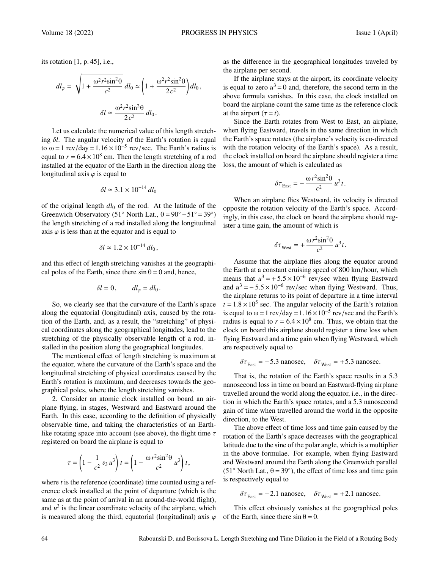its rotation [1, p. 45], i.e.,

$$
dl_{\varphi} = \sqrt{1 + \frac{\omega^2 r^2 \sin^2 \theta}{c^2}} dl_0 \approx \left(1 + \frac{\omega^2 r^2 \sin^2 \theta}{2c^2}\right) dl_0,
$$

$$
\delta l \approx \frac{\omega^2 r^2 \sin^2 \theta}{2c^2} dl_0.
$$

Let us calculate the numerical value of this length stretching δ*l*. The angular velocity of the Earth's rotation is equal to  $\omega = 1$  rev/day = 1.16 × 10<sup>-5</sup> rev/sec. The Earth's radius is<br>equal to  $r = 6.4 \times 10^8$  cm. Then the length stretching of a rod equal to  $r = 6.4 \times 10^8$  cm. Then the length stretching of a rod<br>installed at the equator of the Earth in the direction along the installed at the equator of the Earth in the direction along the longitudinal axis  $\varphi$  is equal to

$$
\delta l \simeq 3.1 \times 10^{-14} \, dl_0
$$

of the original length  $dl_0$  of the rod. At the latitude of the Greenwich Observatory (51° North Lat.,  $\theta = 90^\circ - 51^\circ = 39^\circ$ ) the length stretching of a rod installed along the longitudinal axis  $\varphi$  is less than at the equator and is equal to

$$
\delta l \simeq 1.2 \times 10^{-14} \, dl_0,
$$

and this effect of length stretching vanishes at the geographical poles of the Earth, since there  $\sin \theta = 0$  and, hence,

$$
\delta l = 0, \qquad dl_{\varphi} = dl_0.
$$

So, we clearly see that the curvature of the Earth's space along the equatorial (longitudinal) axis, caused by the rotation of the Earth, and, as a result, the "stretching" of physical coordinates along the geographical longitudes, lead to the stretching of the physically observable length of a rod, installed in the position along the geographical longitudes.

The mentioned effect of length stretching is maximum at the equator, where the curvature of the Earth's space and the longitudinal stretching of physical coordinates caused by the Earth's rotation is maximum, and decreases towards the geographical poles, where the length stretching vanishes.

2. Consider an atomic clock installed on board an airplane flying, in stages, Westward and Eastward around the Earth. In this case, according to the definition of physically observable time, and taking the characteristics of an Earthlike rotating space into account (see above), the flight time  $\tau$ registered on board the airplane is equal to

$$
\tau = \left(1 - \frac{1}{c^2} v_3 u^3\right) t = \left(1 - \frac{\omega r^2 \sin^2\theta}{c^2} u^3\right) t,
$$

where *t* is the reference (coordinate) time counted using a reference clock installed at the point of departure (which is the same as at the point of arrival in an around-the-world flight), and  $u^3$  is the linear coordinate velocity of the airplane, which is measured along the third, equatorial (longitudinal) axis  $\varphi$ 

as the difference in the geographical longitudes traveled by the airplane per second.

If the airplane stays at the airport, its coordinate velocity is equal to zero  $u^3 = 0$  and, therefore, the second term in the above formula vanishes. In this case, the clock installed on board the airplane count the same time as the reference clock at the airport  $(\tau = t)$ .

Since the Earth rotates from West to East, an airplane, when flying Eastward, travels in the same direction in which the Earth's space rotates (the airplane's velocity is co-directed with the rotation velocity of the Earth's space). As a result, the clock installed on board the airplane should register a time loss, the amount of which is calculated as

$$
\delta \tau_{\text{East}} = -\frac{\omega r^2 \sin^2 \theta}{c^2} u^3 t.
$$

When an airplane flies Westward, its velocity is directed opposite the rotation velocity of the Earth's space. Accordingly, in this case, the clock on board the airplane should register a time gain, the amount of which is

$$
\delta \tau_{\text{West}} = + \frac{\omega r^2 \sin^2 \theta}{c^2} u^3 t.
$$

Assume that the airplane flies along the equator around the Earth at a constant cruising speed of 800 km/hour, which means that  $u^3 = +5.5 \times 10^{-6}$  rev/sec when flying Eastward<br>and  $u^3 = -5.5 \times 10^{-6}$  rev/sec when flying Westward. Thus and  $u^3 = -5.5 \times 10^{-6}$  rev/sec when flying Westward. Thus,<br>the airplane returns to its point of departure in a time interval the airplane returns to its point of departure in a time interval  $t = 1.8 \times 10^5$  sec. The angular velocity of the Earth's rotation<br>is equal to  $\omega = 1$  rev/day  $= 1.16 \times 10^{-5}$  rev/sec and the Earth's is equal to  $\omega = 1$  rev/day =  $1.16 \times 10^{-5}$  rev/sec and the Earth's radius is equal to  $r = 6.4 \times 10^8$  cm. Thus, we obtain that the radius is equal to  $r = 6.4 \times 10^8$  cm. Thus, we obtain that the clock on board this airplane should register a time loss when clock on board this airplane should register a time loss when flying Eastward and a time gain when flying Westward, which are respectively equal to

$$
\delta \tau_{\text{East}} = -5.3 \text{ nanosec}, \quad \delta \tau_{\text{West}} = +5.3 \text{ nanosec.}
$$

That is, the rotation of the Earth's space results in a 5.3 nanosecond loss in time on board an Eastward-flying airplane travelled around the world along the equator, i.e., in the direction in which the Earth's space rotates, and a 5.3 nanosecond gain of time when travelled around the world in the opposite direction, to the West.

The above effect of time loss and time gain caused by the rotation of the Earth's space decreases with the geographical latitude due to the sine of the polar angle, which is a multiplier in the above formulae. For example, when flying Eastward and Westward around the Earth along the Greenwich parallel (51<sup>°</sup> North Lat.,  $\theta = 39^\circ$ ), the effect of time loss and time gain is respectively equal to

 $\delta \tau_{\text{East}} = -2.1 \text{ nanosec}, \quad \delta \tau_{\text{West}} = +2.1 \text{ nanosec}.$ 

This effect obviously vanishes at the geographical poles of the Earth, since there  $\sin \theta = 0$ .